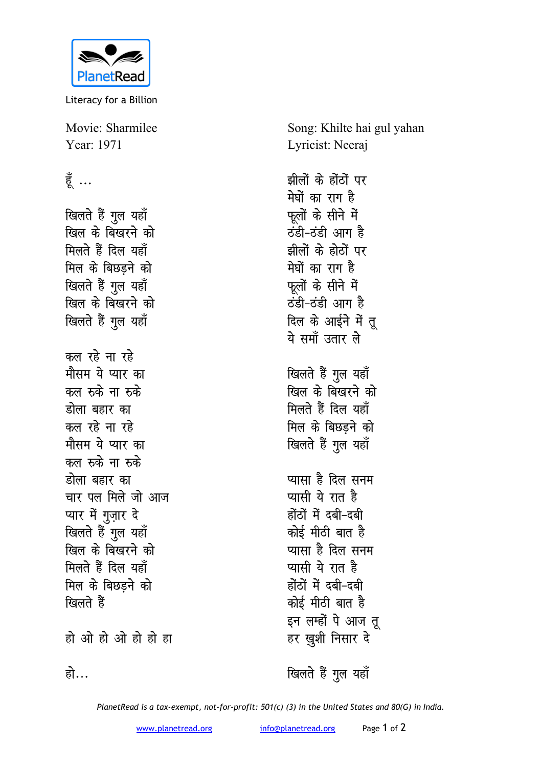

Literacy for a Billion

Movie: Sharmilee Year: 1971

## हूँ ...

खिलते हैं गुल यहाँ खिल के बिखरने क<mark>ो</mark> मिलते हैं दिल यहाँ मिल के बिछडने को खिलते हैं गूल यहाँ **खिल के बिखरने को** *खिलते* हैं गुल यहाँ कल रहे ना रहे <u>मौसम ये प्यार का</u> कल <del>र</del>ुके ना रुके <u>डोला बहार का</u> <u>कल रहे ना रहे</u> <u>मौसम ये प्यार का</u> कल रुके ना रुके <u>होला बहार का</u> <u>चार पल मिले जो आज</u> प्यार में गुज़ार दे खिलते हैं गुल यहाँ <u>खिल के बिखरने को</u> <u>मिलते हैं दिल यहाँ</u> मिल के बिछडने को खिलते हैं

हो ओ हो ओ हो हो ह<mark>ा</mark>

Song: Khilte hai gul yahan Lyricist: Neeraj

झीलों के होंठों पर **मेघों** का राग है फलों के सीने में <u>ठंडी-ठंडी आग है</u> झीलों के होठों पर **मेघों** का राग है फलों के सीने में **Bamba Bandar** दिल के आईने में तू ये समॉं उतार ले खिलते हैं गूल यहाँ <u>खिल के बिखरने को</u> **मिलते हैं दिल यहाँ मिल के बिछडने को** *खिलते* हैं गुल यहाँ <u>प्यासा है दिल सनम</u> **प्यासी ये रात है** होंठों में दबी-दबी <u>कोई मीठी बात है</u> <u>प्यासा है दिल सनम</u> <u>प्यासी ये रात है</u> होंठों में दबी-दबी कोई मीठी बात ह<del>ै</del> इन लम्हों पे आज तू

हो…

खिलते हैं गुल यहाँ

हर ख़ुशी निसार दे

*PlanetRead is a tax-exempt, not-for-profit: 501(c) (3) in the United States and 80(G) in India.*